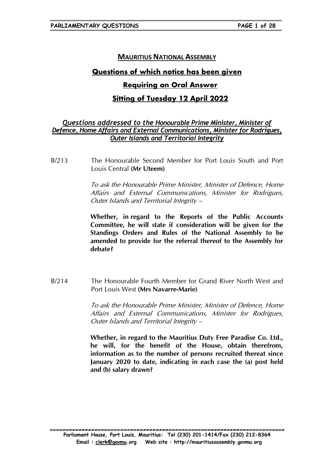## **MAURITIUS NATIONAL ASSEMBLY**

# Questions of which notice has been given

## **Requiring an Oral Answer**

# **Sitting of Tuesday 12 April 2022**

## Questions addressed to the Honourable Prime Minister, Minister of Defence, Home Affairs and External Communications, Minister for Rodrigues, **Outer Islands and Territorial Integrity**

 $R/213$ The Honourable Second Member for Port Louis South and Port Louis Central (Mr Uteem)

> To ask the Honourable Prime Minister, Minister of Defence, Home Affairs and External Communications, Minister for Rodrigues, Outer Islands and Territorial Integrity -

> Whether, in regard to the Reports of the Public Accounts Committee, he will state if consideration will be given for the Standings Orders and Rules of the National Assembly to be amended to provide for the referral thereof to the Assembly for debate?

 $B/214$ The Honourable Fourth Member for Grand River North West and Port Louis West (Mrs Navarre-Marie)

> To ask the Honourable Prime Minister, Minister of Defence, Home Affairs and External Communications, Minister for Rodrigues, Outer Islands and Territorial Integrity -

> Whether, in regard to the Mauritius Duty Free Paradise Co. Ltd., he will, for the benefit of the House, obtain therefrom, information as to the number of persons recruited thereat since January 2020 to date, indicating in each case the (a) post held and (b) salary drawn?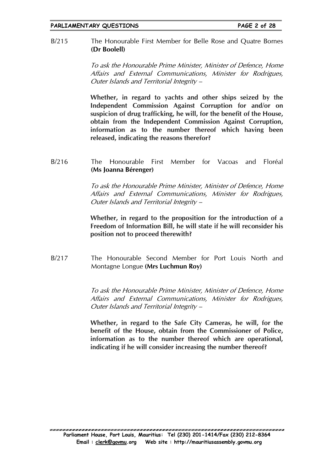#### The Honourable First Member for Belle Rose and Quatre Bornes  $B/215$ (Dr Boolell)

To ask the Honourable Prime Minister, Minister of Defence, Home Affairs and External Communications, Minister for Rodrigues, Outer Islands and Territorial Integrity -

Whether, in regard to yachts and other ships seized by the Independent Commission Against Corruption for and/or on suspicion of drug trafficking, he will, for the benefit of the House, obtain from the Independent Commission Against Corruption, information as to the number thereof which having been released, indicating the reasons therefor?

#### $B/216$ The Honourable First Member for Vacoas and Floréal (Ms Ioanna Bérenger)

To ask the Honourable Prime Minister, Minister of Defence, Home Affairs and External Communications, Minister for Rodrigues, Outer Islands and Territorial Integrity -

Whether, in regard to the proposition for the introduction of a Freedom of Information Bill, he will state if he will reconsider his position not to proceed therewith?

 $B/217$ The Honourable Second Member for Port Louis North and Montagne Longue (Mrs Luchmun Roy)

> To ask the Honourable Prime Minister, Minister of Defence, Home Affairs and External Communications. Minister for Rodrigues. Outer Islands and Territorial Integrity -

> Whether, in regard to the Safe City Cameras, he will, for the benefit of the House, obtain from the Commissioner of Police, information as to the number thereof which are operational, indicating if he will consider increasing the number thereof?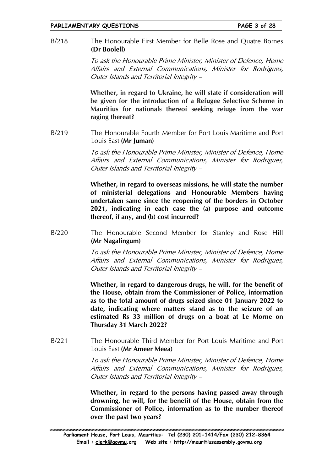The Honourable First Member for Belle Rose and Quatre Bornes  $B/218$ (Dr Boolell)

> To ask the Honourable Prime Minister, Minister of Defence, Home Affairs and External Communications, Minister for Rodrigues, Outer Islands and Territorial Integrity -

> Whether, in regard to Ukraine, he will state if consideration will be given for the introduction of a Refugee Selective Scheme in Mauritius for nationals thereof seeking refuge from the war raging thereat?

The Honourable Fourth Member for Port Louis Maritime and Port  $B/219$ Louis East (Mr Juman)

> To ask the Honourable Prime Minister, Minister of Defence, Home Affairs and External Communications, Minister for Rodrigues, Outer Islands and Territorial Integrity -

> Whether, in regard to overseas missions, he will state the number of ministerial delegations and Honourable Members having undertaken same since the reopening of the borders in October 2021, indicating in each case the (a) purpose and outcome thereof, if any, and (b) cost incurred?

 $B/220$ The Honourable Second Member for Stanley and Rose Hill (Mr Nagalingum)

> To ask the Honourable Prime Minister, Minister of Defence, Home Affairs and External Communications, Minister for Rodrigues, Outer Islands and Territorial Integrity -

> Whether, in regard to dangerous drugs, he will, for the benefit of the House, obtain from the Commissioner of Police, information as to the total amount of drugs seized since 01 January 2022 to date, indicating where matters stand as to the seizure of an estimated Rs 33 million of drugs on a boat at Le Morne on Thursday 31 March 2022?

The Honourable Third Member for Port Louis Maritime and Port  $B/221$ Louis East (Mr Ameer Meea)

> To ask the Honourable Prime Minister, Minister of Defence, Home Affairs and External Communications, Minister for Rodrigues, Outer Islands and Territorial Integrity -

> Whether, in regard to the persons having passed away through drowning, he will, for the benefit of the House, obtain from the Commissioner of Police, information as to the number thereof over the past two years?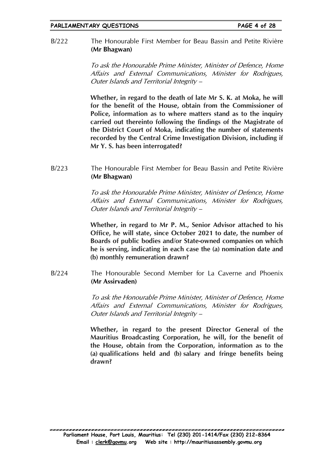The Honourable First Member for Beau Bassin and Petite Rivière  $B/222$ (Mr Bhagwan)

> To ask the Honourable Prime Minister, Minister of Defence, Home Affairs and External Communications, Minister for Rodrigues, Outer Islands and Territorial Integrity -

> Whether, in regard to the death of late Mr S. K. at Moka, he will for the benefit of the House, obtain from the Commissioner of Police, information as to where matters stand as to the inquiry carried out thereinto following the findings of the Magistrate of the District Court of Moka, indicating the number of statements recorded by the Central Crime Investigation Division, including if Mr Y. S. has been interrogated?

 $B/223$ The Honourable First Member for Beau Bassin and Petite Rivière (Mr Bhagwan)

> To ask the Honourable Prime Minister, Minister of Defence, Home Affairs and External Communications, Minister for Rodrigues, Outer Islands and Territorial Integrity -

> Whether, in regard to Mr P. M., Senior Advisor attached to his Office, he will state, since October 2021 to date, the number of Boards of public bodies and/or State-owned companies on which he is serving, indicating in each case the (a) nomination date and (b) monthly remuneration drawn?

The Honourable Second Member for La Caverne and Phoenix  $B/224$ (Mr Assirvaden)

> To ask the Honourable Prime Minister, Minister of Defence, Home Affairs and External Communications, Minister for Rodrigues, Outer Islands and Territorial Integrity -

> Whether, in regard to the present Director General of the Mauritius Broadcasting Corporation, he will, for the benefit of the House, obtain from the Corporation, information as to the (a) qualifications held and (b) salary and fringe benefits being drawn?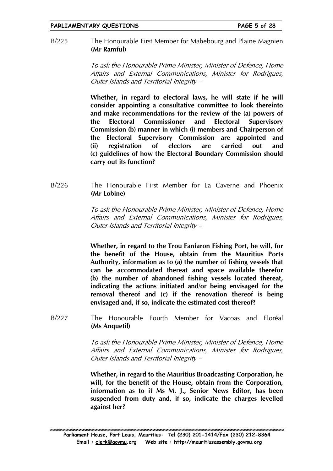The Honourable First Member for Mahebourg and Plaine Magnien  $B/225$ (Mr Ramful)

> To ask the Honourable Prime Minister, Minister of Defence, Home Affairs and External Communications, Minister for Rodrigues, Outer Islands and Territorial Integrity -

> Whether, in regard to electoral laws, he will state if he will consider appointing a consultative committee to look thereinto and make recommendations for the review of the (a) powers of the Electoral **Commissioner** and Electoral **Supervisory** Commission (b) manner in which (i) members and Chairperson of the Electoral Supervisory Commission are appointed and registration electors  $(ii)$  $of$ are carried and out (c) guidelines of how the Electoral Boundary Commission should carry out its function?

 $B/226$ The Honourable First Member for La Caverne and Phoenix (Mr Lobine)

> To ask the Honourable Prime Minister, Minister of Defence, Home Affairs and External Communications, Minister for Rodrigues, Outer Islands and Territorial Integrity -

> Whether, in regard to the Trou Fanfaron Fishing Port, he will, for the benefit of the House, obtain from the Mauritius Ports Authority, information as to (a) the number of fishing vessels that can be accommodated thereat and space available therefor (b) the number of abandoned fishing vessels located thereat, indicating the actions initiated and/or being envisaged for the removal thereof and (c) if the renovation thereof is being envisaged and, if so, indicate the estimated cost thereof?

The Honourable Fourth Member for Vacoas and Floréal  $B/227$ (Ms Anguetil)

> To ask the Honourable Prime Minister, Minister of Defence, Home Affairs and External Communications, Minister for Rodrigues, Outer Islands and Territorial Integrity -

> Whether, in regard to the Mauritius Broadcasting Corporation, he will, for the benefit of the House, obtain from the Corporation, information as to if Ms M. J., Senior News Editor, has been suspended from duty and, if so, indicate the charges levelled against her?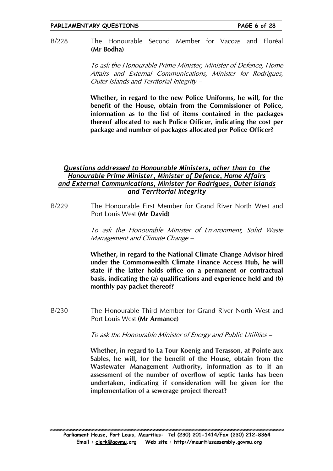#### The Honourable Second Member for Vacoas and Floréal  $B/228$ (Mr Bodha)

To ask the Honourable Prime Minister, Minister of Defence, Home Affairs and External Communications, Minister for Rodrigues, Outer Islands and Territorial Integrity -

Whether, in regard to the new Police Uniforms, he will, for the benefit of the House, obtain from the Commissioner of Police, information as to the list of items contained in the packages thereof allocated to each Police Officer, indicating the cost per package and number of packages allocated per Police Officer?

## Questions addressed to Honourable Ministers, other than to the Honourable Prime Minister, Minister of Defence, Home Affairs and External Communications, Minister for Rodrigues, Outer Islands and Territorial Integrity

 $B/229$ The Honourable First Member for Grand River North West and Port Louis West (Mr David)

> To ask the Honourable Minister of Environment, Solid Waste Management and Climate Change -

> Whether, in regard to the National Climate Change Advisor hired under the Commonwealth Climate Finance Access Hub, he will state if the latter holds office on a permanent or contractual basis, indicating the (a) qualifications and experience held and (b) monthly pay packet thereof?

 $B/230$ The Honourable Third Member for Grand River North West and Port Louis West (Mr Armance)

To ask the Honourable Minister of Energy and Public Utilities –

Whether, in regard to La Tour Koenig and Terasson, at Pointe aux Sables, he will, for the benefit of the House, obtain from the Wastewater Management Authority, information as to if an assessment of the number of overflow of septic tanks has been undertaken, indicating if consideration will be given for the implementation of a sewerage project thereat?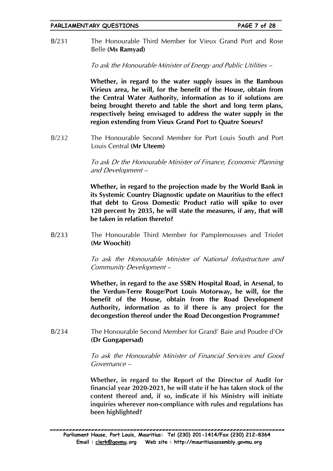The Honourable Third Member for Vieux Grand Port and Rose  $B/231$ Belle (Ms Ramyad)

To ask the Honourable Minister of Energy and Public Utilities –

Whether, in regard to the water supply issues in the Bambous Virieux area, he will, for the benefit of the House, obtain from the Central Water Authority, information as to if solutions are being brought thereto and table the short and long term plans, respectively being envisaged to address the water supply in the region extending from Vieux Grand Port to Quatre Soeurs?

The Honourable Second Member for Port Louis South and Port  $B/232$ Louis Central (Mr Uteem)

> To ask Dr the Honourable Minister of Finance, Economic Planning and Development-

> Whether, in regard to the projection made by the World Bank in its Systemic Country Diagnostic update on Mauritius to the effect that debt to Gross Domestic Product ratio will spike to over 120 percent by 2035, he will state the measures, if any, that will be taken in relation thereto?

 $B/233$ The Honourable Third Member for Pamplemousses and Triolet (Mr Woochit)

> To ask the Honourable Minister of National Infrastructure and Community Development-

> Whether, in regard to the axe SSRN Hospital Road, in Arsenal, to the Verdun-Terre Rouge/Port Louis Motorway, he will, for the benefit of the House, obtain from the Road Development Authority, information as to if there is any project for the decongestion thereof under the Road Decongestion Programme?

 $B/234$ The Honourable Second Member for Grand' Baie and Poudre d'Or (Dr Gungapersad)

> To ask the Honourable Minister of Financial Services and Good Governance-

> Whether, in regard to the Report of the Director of Audit for financial year 2020-2021, he will state if he has taken stock of the content thereof and, if so, indicate if his Ministry will initiate inquiries wherever non-compliance with rules and regulations has been highlighted?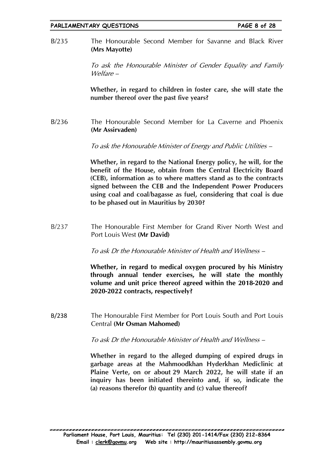The Honourable Second Member for Savanne and Black River  $B/235$ (Mrs Mayotte)

> To ask the Honourable Minister of Gender Equality and Family Welfare –

> Whether, in regard to children in foster care, she will state the number thereof over the past five years?

 $B/236$ The Honourable Second Member for La Caverne and Phoenix (Mr Assirvaden)

To ask the Honourable Minister of Energy and Public Utilities –

Whether, in regard to the National Energy policy, he will, for the benefit of the House, obtain from the Central Electricity Board (CEB), information as to where matters stand as to the contracts signed between the CEB and the Independent Power Producers using coal and coal/bagasse as fuel, considering that coal is due to be phased out in Mauritius by 2030?

 $B/237$ The Honourable First Member for Grand River North West and Port Louis West (Mr David)

To ask Dr the Honourable Minister of Health and Wellness -

Whether, in regard to medical oxygen procured by his Ministry through annual tender exercises, he will state the monthly volume and unit price thereof agreed within the 2018-2020 and 2020-2022 contracts, respectively?

The Honourable First Member for Port Louis South and Port Louis B/238 Central (Mr Osman Mahomed)

To ask Dr the Honourable Minister of Health and Wellness -

Whether in regard to the alleged dumping of expired drugs in garbage areas at the Mahmoodkhan Hyderkhan Mediclinic at Plaine Verte, on or about 29 March 2022, he will state if an inquiry has been initiated thereinto and, if so, indicate the (a) reasons therefor (b) quantity and (c) value thereof?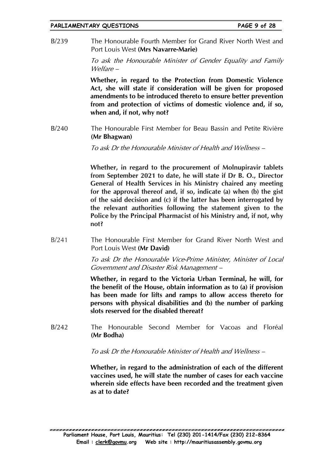The Honourable Fourth Member for Grand River North West and  $R/239$ Port Louis West (Mrs Navarre-Marie)

> To ask the Honourable Minister of Gender Equality and Family  $We|$  *Hare*  $-$

> Whether, in regard to the Protection from Domestic Violence Act, she will state if consideration will be given for proposed amendments to be introduced thereto to ensure better prevention from and protection of victims of domestic violence and, if so, when and, if not, why not?

 $B/240$ The Honourable First Member for Beau Bassin and Petite Rivière (Mr Bhagwan)

To ask Dr the Honourable Minister of Health and Wellness –

Whether, in regard to the procurement of Molnupiravir tablets from September 2021 to date, he will state if Dr B. O., Director General of Health Services in his Ministry chaired any meeting for the approval thereof and, if so, indicate (a) when (b) the gist of the said decision and (c) if the latter has been interrogated by the relevant authorities following the statement given to the Police by the Principal Pharmacist of his Ministry and, if not, why not?

The Honourable First Member for Grand River North West and  $B/241$ Port Louis West (Mr David)

> To ask Dr the Honourable Vice-Prime Minister, Minister of Local Government and Disaster Risk Management -

> Whether, in regard to the Victoria Urban Terminal, he will, for the benefit of the House, obtain information as to (a) if provision has been made for lifts and ramps to allow access thereto for persons with physical disabilities and (b) the number of parking slots reserved for the disabled thereat?

 $B/242$ The Honourable Second Member for Vacoas and Floréal (Mr Bodha)

To ask Dr the Honourable Minister of Health and Wellness –

Whether, in regard to the administration of each of the different vaccines used, he will state the number of cases for each vaccine wherein side effects have been recorded and the treatment given as at to date?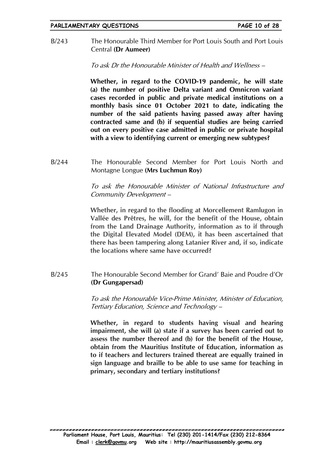The Honourable Third Member for Port Louis South and Port Louis  $B/243$ Central (Dr Aumeer)

To ask Dr the Honourable Minister of Health and Wellness -

Whether, in regard to the COVID-19 pandemic, he will state (a) the number of positive Delta variant and Omnicron variant cases recorded in public and private medical institutions on a monthly basis since 01 October 2021 to date, indicating the number of the said patients having passed away after having contracted same and (b) if sequential studies are being carried out on every positive case admitted in public or private hospital with a view to identifying current or emerging new subtypes?

 $B/244$ The Honourable Second Member for Port Louis North and Montagne Longue (Mrs Luchmun Roy)

> To ask the Honourable Minister of National Infrastructure and Community Development-

> Whether, in regard to the flooding at Morcellement Ramlugon in Vallée des Prêtres, he will, for the benefit of the House, obtain from the Land Drainage Authority, information as to if through the Digital Elevated Model (DEM), it has been ascertained that there has been tampering along Latanier River and, if so, indicate the locations where same have occurred?

 $B/245$ The Honourable Second Member for Grand' Baie and Poudre d'Or (Dr Gungapersad)

> To ask the Honourable Vice-Prime Minister, Minister of Education, Tertiary Education, Science and Technology -

> Whether, in regard to students having visual and hearing impairment, she will (a) state if a survey has been carried out to assess the number thereof and (b) for the benefit of the House. obtain from the Mauritius Institute of Education, information as to if teachers and lecturers trained thereat are equally trained in sign language and braille to be able to use same for teaching in primary, secondary and tertiary institutions?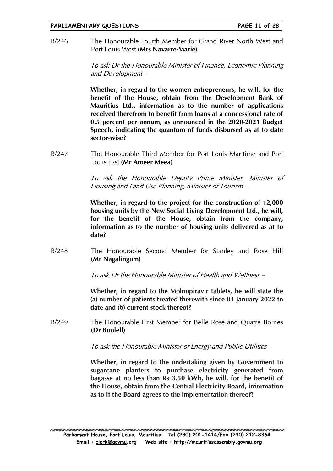The Honourable Fourth Member for Grand River North West and  $B/246$ Port Louis West (Mrs Navarre-Marie)

> To ask Dr the Honourable Minister of Finance, Economic Planning and Development -

> Whether, in regard to the women entrepreneurs, he will, for the benefit of the House, obtain from the Development Bank of Mauritius Ltd., information as to the number of applications received therefrom to benefit from loans at a concessional rate of 0.5 percent per annum, as announced in the 2020-2021 Budget Speech, indicating the quantum of funds disbursed as at to date sector-wise?

 $B/247$ The Honourable Third Member for Port Louis Maritime and Port Louis East (Mr Ameer Meea)

> To ask the Honourable Deputy Prime Minister, Minister of Housing and Land Use Planning, Minister of Tourism –

> Whether, in regard to the project for the construction of 12,000 housing units by the New Social Living Development Ltd., he will, for the benefit of the House, obtain from the company, information as to the number of housing units delivered as at to date?

 $B/248$ The Honourable Second Member for Stanley and Rose Hill (Mr Nagalingum)

To ask Dr the Honourable Minister of Health and Wellness -

Whether, in regard to the Molnupiravir tablets, he will state the (a) number of patients treated therewith since 01 January 2022 to date and (b) current stock thereof?

 $B/249$ The Honourable First Member for Belle Rose and Ouatre Bornes (Dr Boolell)

To ask the Honourable Minister of Energy and Public Utilities –

Whether, in regard to the undertaking given by Government to sugarcane planters to purchase electricity generated from bagasse at no less than Rs 3.50 kWh, he will, for the benefit of the House, obtain from the Central Electricity Board, information as to if the Board agrees to the implementation thereof?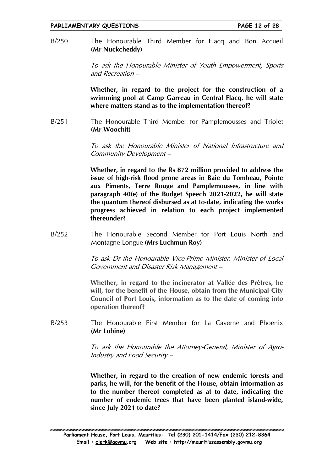The Honourable Third Member for Flacq and Bon Accueil  $B/250$ (Mr Nuckcheddy)

> To ask the Honourable Minister of Youth Empowerment, Sports and Recreation –

> Whether, in regard to the project for the construction of a swimming pool at Camp Garreau in Central Flacq, he will state where matters stand as to the implementation thereof?

 $B/251$ The Honourable Third Member for Pamplemousses and Triolet (Mr Woochit)

> To ask the Honourable Minister of National Infrastructure and Community Development-

> Whether, in regard to the Rs 872 million provided to address the issue of high-risk flood prone areas in Baie du Tombeau, Pointe aux Piments, Terre Rouge and Pamplemousses, in line with paragraph 40(e) of the Budget Speech 2021-2022, he will state the quantum thereof disbursed as at to-date, indicating the works progress achieved in relation to each project implemented thereunder?

 $B/252$ The Honourable Second Member for Port Louis North and Montagne Longue (Mrs Luchmun Rov)

> To ask Dr the Honourable Vice-Prime Minister, Minister of Local Government and Disaster Risk Management -

> Whether, in regard to the incinerator at Vallée des Prêtres, he will, for the benefit of the House, obtain from the Municipal City Council of Port Louis, information as to the date of coming into operation thereof?

 $B/253$ The Honourable First Member for La Caverne and Phoenix (Mr Lobine)

> To ask the Honourable the Attorney-General, Minister of Agro-Industry and Food Security -

> Whether, in regard to the creation of new endemic forests and parks, he will, for the benefit of the House, obtain information as to the number thereof completed as at to date, indicating the number of endemic trees that have been planted island-wide, since July 2021 to date?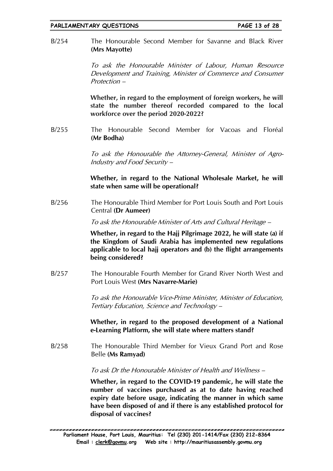The Honourable Second Member for Savanne and Black River  $B/254$ (Mrs Mayotte)

> To ask the Honourable Minister of Labour, Human Resource Development and Training, Minister of Commerce and Consumer Protection -

> Whether, in regard to the employment of foreign workers, he will state the number thereof recorded compared to the local workforce over the period 2020-2022?

 $B/255$ The Honourable Second Member for Vacoas and Floréal (Mr Bodha)

> To ask the Honourable the Attorney-General, Minister of Agro-Industry and Food Security-

> Whether, in regard to the National Wholesale Market, he will state when same will be operational?

 $B/256$ The Honourable Third Member for Port Louis South and Port Louis Central (Dr Aumeer)

To ask the Honourable Minister of Arts and Cultural Heritage –

Whether, in regard to the Haji Pilgrimage 2022, he will state (a) if the Kingdom of Saudi Arabia has implemented new regulations applicable to local hajj operators and (b) the flight arrangements being considered?

The Honourable Fourth Member for Grand River North West and  $B/257$ Port Louis West (Mrs Navarre-Marie)

> To ask the Honourable Vice-Prime Minister, Minister of Education, Tertiary Education, Science and Technology –

> Whether, in regard to the proposed development of a National e-Learning Platform, she will state where matters stand?

 $B/258$ The Honourable Third Member for Vieux Grand Port and Rose Belle (Ms Ramyad)

To ask Dr the Honourable Minister of Health and Wellness -

Whether, in regard to the COVID-19 pandemic, he will state the number of vaccines purchased as at to date having reached expiry date before usage, indicating the manner in which same have been disposed of and if there is any established protocol for disposal of vaccines?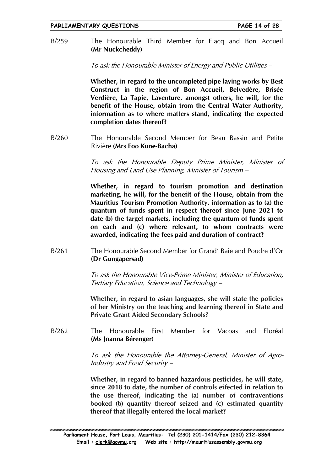The Honourable Third Member for Flacq and Bon Accueil  $R/259$ (Mr Nuckcheddy)

To ask the Honourable Minister of Energy and Public Utilities –

Whether, in regard to the uncompleted pipe laying works by Best Construct in the region of Bon Accueil, Belvedère, Brisée Verdière, La Tapie, Laventure, amongst others, he will, for the benefit of the House, obtain from the Central Water Authority, information as to where matters stand, indicating the expected completion dates thereof?

The Honourable Second Member for Beau Bassin and Petite  $B/260$ Rivière (Mrs Foo Kune-Bacha)

> To ask the Honourable Deputy Prime Minister, Minister of Housing and Land Use Planning, Minister of Tourism -

> Whether, in regard to tourism promotion and destination marketing, he will, for the benefit of the House, obtain from the Mauritius Tourism Promotion Authority, information as to (a) the quantum of funds spent in respect thereof since June 2021 to date (b) the target markets, including the quantum of funds spent on each and (c) where relevant, to whom contracts were awarded, indicating the fees paid and duration of contract?

 $B/261$ The Honourable Second Member for Grand' Baie and Poudre d'Or (Dr Gungapersad)

> To ask the Honourable Vice-Prime Minister, Minister of Education, Tertiary Education, Science and Technology -

> Whether, in regard to asian languages, she will state the policies of her Ministry on the teaching and learning thereof in State and **Private Grant Aided Secondary Schools?**

 $B/262$ The Honourable First Member for Vacoas and Floréal (Ms Joanna Bérenger)

> To ask the Honourable the Attorney-General, Minister of Agro-Industry and Food Security -

> Whether, in regard to banned hazardous pesticides, he will state, since 2018 to date, the number of controls effected in relation to the use thereof, indicating the (a) number of contraventions booked (b) quantity thereof seized and (c) estimated quantity thereof that illegally entered the local market?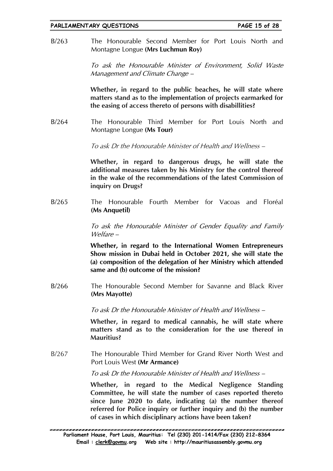The Honourable Second Member for Port Louis North and  $B/263$ Montagne Longue (Mrs Luchmun Roy)

> To ask the Honourable Minister of Environment, Solid Waste Management and Climate Change –

> Whether, in regard to the public beaches, he will state where matters stand as to the implementation of projects earmarked for the easing of access thereto of persons with disabillities?

 $B/264$ The Honourable Third Member for Port Louis North and Montagne Longue (Ms Tour)

To ask Dr the Honourable Minister of Health and Wellness -

Whether, in regard to dangerous drugs, he will state the additional measures taken by his Ministry for the control thereof in the wake of the recommendations of the latest Commission of inquiry on Drugs?

The Honourable Fourth Member for Vacoas and Floréal  $B/265$ (Ms Anguetil)

> To ask the Honourable Minister of Gender Equality and Family  $W$ elfare –

> Whether, in regard to the International Women Entrepreneurs Show mission in Dubai held in October 2021, she will state the (a) composition of the delegation of her Ministry which attended same and (b) outcome of the mission?

The Honourable Second Member for Savanne and Black River  $R/266$ (Mrs Mayotte)

To ask Dr the Honourable Minister of Health and Wellness -

Whether, in regard to medical cannabis, he will state where matters stand as to the consideration for the use thereof in **Mauritius?** 

 $R/267$ The Honourable Third Member for Grand River North West and Port Louis West (Mr Armance)

To ask Dr the Honourable Minister of Health and Wellness –

Whether, in regard to the Medical Negligence Standing Committee, he will state the number of cases reported thereto since lune 2020 to date, indicating (a) the number thereof referred for Police inquiry or further inquiry and (b) the number of cases in which disciplinary actions have been taken?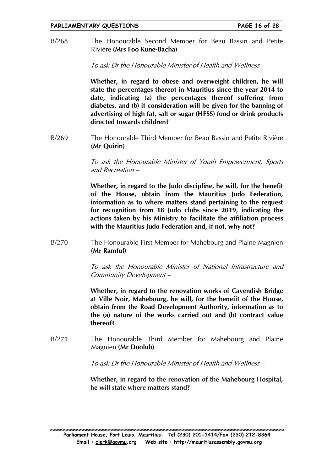The Honourable Second Member for Beau Bassin and Petite  $B/268$ Rivière (Mrs Foo Kune-Bacha)

To ask Dr the Honourable Minister of Health and Wellness -

Whether, in regard to obese and overweight children, he will state the percentages thereof in Mauritius since the year 2014 to date, indicating (a) the percentages thereof suffering from diabetes, and (b) if consideration will be given for the banning of advertising of high fat, salt or sugar (HFSS) food or drink products directed towards children?

The Honourable Third Member for Beau Bassin and Petite Rivière  $B/269$ (Mr Ouirin)

> To ask the Honourable Minister of Youth Empowerment, Sports and Recreation -

> Whether, in regard to the Judo discipline, he will, for the benefit of the House, obtain from the Mauritius Judo Federation, information as to where matters stand pertaining to the request for recognition from 18 Judo clubs since 2019, indicating the actions taken by his Ministry to facilitate the affiliation process with the Mauritius Judo Federation and, if not, why not?

 $B/270$ The Honourable First Member for Mahebourg and Plaine Magnien (Mr Ramful)

> To ask the Honourable Minister of National Infrastructure and Community Development-

> Whether, in regard to the renovation works of Cavendish Bridge at Ville Noir, Mahebourg, he will, for the benefit of the House, obtain from the Road Development Authority, information as to the (a) nature of the works carried out and (b) contract value thereof?

 $B/271$ The Honourable Third Member for Mahebourg and Plaine Magnien (Mr Doolub)

To ask Dr the Honourable Minister of Health and Wellness –

Whether, in regard to the renovation of the Mahebourg Hospital, he will state where matters stand?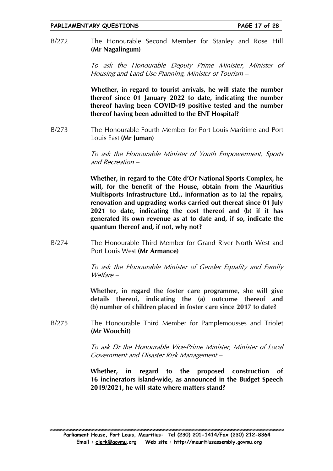The Honourable Second Member for Stanley and Rose Hill  $B/272$ (Mr Nagalingum)

> To ask the Honourable Deputy Prime Minister, Minister of Housing and Land Use Planning, Minister of Tourism –

> Whether, in regard to tourist arrivals, he will state the number thereof since 01 January 2022 to date, indicating the number thereof having been COVID-19 positive tested and the number thereof having been admitted to the ENT Hospital?

 $B/273$ The Honourable Fourth Member for Port Louis Maritime and Port Louis East (Mr Juman)

> To ask the Honourable Minister of Youth Empowerment, Sports and Recreation -

> Whether, in regard to the Côte d'Or National Sports Complex, he will, for the benefit of the House, obtain from the Mauritius Multisports Infrastructure Ltd., information as to (a) the repairs, renovation and upgrading works carried out thereat since 01 July 2021 to date, indicating the cost thereof and (b) if it has generated its own revenue as at to date and, if so, indicate the quantum thereof and, if not, why not?

The Honourable Third Member for Grand River North West and  $B/274$ Port Louis West (Mr Armance)

> To ask the Honourable Minister of Gender Equality and Family  $W$ elfare –

> Whether, in regard the foster care programme, she will give details thereof, indicating the (a) outcome thereof and (b) number of children placed in foster care since 2017 to date?

 $B/275$ The Honourable Third Member for Pamplemousses and Triolet (Mr Woochit)

> To ask Dr the Honourable Vice-Prime Minister, Minister of Local Government and Disaster Risk Management -

> Whether, in regard to the proposed construction of 16 incinerators island-wide, as announced in the Budget Speech 2019/2021, he will state where matters stand?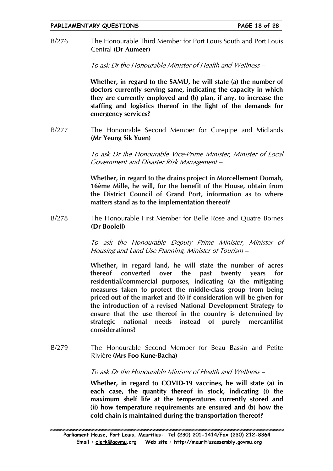The Honourable Third Member for Port Louis South and Port Louis  $B/276$ Central (Dr Aumeer)

To ask Dr the Honourable Minister of Health and Wellness -

Whether, in regard to the SAMU, he will state (a) the number of doctors currently serving same, indicating the capacity in which they are currently employed and (b) plan, if any, to increase the staffing and logistics thereof in the light of the demands for emergency services?

 $B/277$ The Honourable Second Member for Curepipe and Midlands (Mr Yeung Sik Yuen)

> To ask Dr the Honourable Vice-Prime Minister, Minister of Local Government and Disaster Risk Management -

> Whether, in regard to the drains project in Morcellement Domah, 16ème Mille, he will, for the benefit of the House, obtain from the District Council of Grand Port, information as to where matters stand as to the implementation thereof?

 $B/278$ The Honourable First Member for Belle Rose and Quatre Bornes (Dr Boolell)

> To ask the Honourable Deputy Prime Minister, Minister of Housing and Land Use Planning, Minister of Tourism –

> Whether, in regard land, he will state the number of acres thereof converted over the past twenty vears for residential/commercial purposes, indicating (a) the mitigating measures taken to protect the middle-class group from being priced out of the market and (b) if consideration will be given for the introduction of a revised National Development Strategy to ensure that the use thereof in the country is determined by strategic national needs instead of purely mercantilist considerations?

 $B/279$ The Honourable Second Member for Beau Bassin and Petite Rivière (Mrs Foo Kune-Bacha)

## To ask Dr the Honourable Minister of Health and Wellness -

Whether, in regard to COVID-19 vaccines, he will state (a) in each case, the quantity thereof in stock, indicating (i) the maximum shelf life at the temperatures currently stored and (ii) how temperature requirements are ensured and (b) how the cold chain is maintained during the transportation thereof?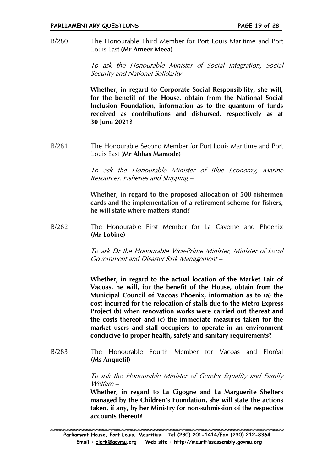The Honourable Third Member for Port Louis Maritime and Port  $B/280$ Louis East (Mr Ameer Meea)

> To ask the Honourable Minister of Social Integration, Social Security and National Solidarity –

> Whether, in regard to Corporate Social Responsibility, she will, for the benefit of the House, obtain from the National Social Inclusion Foundation, information as to the quantum of funds received as contributions and disbursed, respectively as at 30 June 2021?

 $R/281$ The Honourable Second Member for Port Louis Maritime and Port Louis East (Mr Abbas Mamode)

> To ask the Honourable Minister of Blue Economy, Marine Resources, Fisheries and Shipping –

> Whether, in regard to the proposed allocation of 500 fishermen cards and the implementation of a retirement scheme for fishers, he will state where matters stand?

 $B/282$ The Honourable First Member for La Caverne and Phoenix (Mr Lobine)

> To ask Dr the Honourable Vice-Prime Minister, Minister of Local Government and Disaster Risk Management -

> Whether, in regard to the actual location of the Market Fair of Vacoas, he will, for the benefit of the House, obtain from the Municipal Council of Vacoas Phoenix, information as to (a) the cost incurred for the relocation of stalls due to the Metro Express Project (b) when renovation works were carried out thereat and the costs thereof and (c) the immediate measures taken for the market users and stall occupiers to operate in an environment conducive to proper health, safety and sanitary requirements?

The Honourable Fourth Member for Vacoas and Floréal  $B/283$ (Ms Anguetil)

> To ask the Honourable Minister of Gender Equality and Family Welfare –

> Whether, in regard to La Cigogne and La Marguerite Shelters managed by the Children's Foundation, she will state the actions taken, if any, by her Ministry for non-submission of the respective accounts thereof?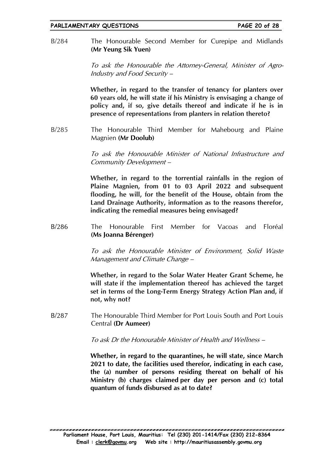The Honourable Second Member for Curepipe and Midlands  $B/284$ (Mr Yeung Sik Yuen)

> To ask the Honourable the Attorney-General, Minister of Agro-Industry and Food Security -

> Whether, in regard to the transfer of tenancy for planters over 60 years old, he will state if his Ministry is envisaging a change of policy and, if so, give details thereof and indicate if he is in presence of representations from planters in relation thereto?

The Honourable Third Member for Mahebourg and Plaine  $B/285$ Magnien (Mr Doolub)

> To ask the Honourable Minister of National Infrastructure and Community Development-

> Whether, in regard to the torrential rainfalls in the region of Plaine Magnien, from 01 to 03 April 2022 and subsequent flooding, he will, for the benefit of the House, obtain from the Land Drainage Authority, information as to the reasons therefor, indicating the remedial measures being envisaged?

 $B/286$ Honourable First Member for Vacoas and Floréal The (Ms Joanna Bérenger)

> To ask the Honourable Minister of Environment, Solid Waste Management and Climate Change -

> Whether, in regard to the Solar Water Heater Grant Scheme, he will state if the implementation thereof has achieved the target set in terms of the Long-Term Energy Strategy Action Plan and, if not, why not?

The Honourable Third Member for Port Louis South and Port Louis  $B/287$ Central (Dr Aumeer)

To ask Dr the Honourable Minister of Health and Wellness -

Whether, in regard to the quarantines, he will state, since March 2021 to date, the facilities used therefor, indicating in each case, the (a) number of persons residing thereat on behalf of his Ministry (b) charges claimed per day per person and (c) total quantum of funds disbursed as at to date?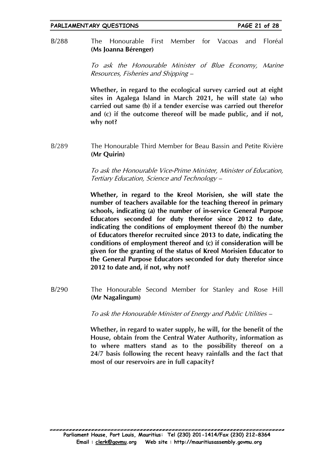Member for  $B/288$ The Honourable First Vacoas and Floréal (Ms Joanna Bérenger)

> To ask the Honourable Minister of Blue Economy, Marine Resources, Fisheries and Shipping –

> Whether, in regard to the ecological survey carried out at eight sites in Agalega Island in March 2021, he will state (a) who carried out same (b) if a tender exercise was carried out therefor and (c) if the outcome thereof will be made public, and if not. why not?

 $B/289$ The Honourable Third Member for Beau Bassin and Petite Rivière (Mr Quirin)

> To ask the Honourable Vice-Prime Minister, Minister of Education, Tertiary Education, Science and Technology -

> Whether, in regard to the Kreol Morisien, she will state the number of teachers available for the teaching thereof in primary schools, indicating (a) the number of in-service General Purpose Educators seconded for duty therefor since 2012 to date, indicating the conditions of employment thereof (b) the number of Educators therefor recruited since 2013 to date, indicating the conditions of employment thereof and (c) if consideration will be given for the granting of the status of Kreol Morisien Educator to the General Purpose Educators seconded for duty therefor since 2012 to date and, if not, why not?

 $B/290$ The Honourable Second Member for Stanley and Rose Hill (Mr Nagalingum)

To ask the Honourable Minister of Energy and Public Utilities -

Whether, in regard to water supply, he will, for the benefit of the House, obtain from the Central Water Authority, information as to where matters stand as to the possibility thereof on a 24/7 basis following the recent heavy rainfalls and the fact that most of our reservoirs are in full capacity?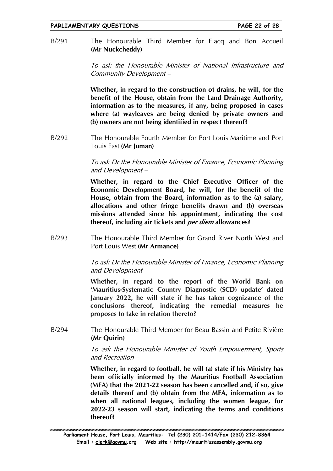$B/291$ The Honourable Third Member for Flacq and Bon Accueil (Mr Nuckcheddy)

> To ask the Honourable Minister of National Infrastructure and Community Development-

> Whether, in regard to the construction of drains, he will, for the benefit of the House, obtain from the Land Drainage Authority, information as to the measures, if any, being proposed in cases where (a) wayleaves are being denied by private owners and (b) owners are not being identified in respect thereof?

 $B/292$ The Honourable Fourth Member for Port Louis Maritime and Port Louis East (Mr Iuman)

> To ask Dr the Honourable Minister of Finance, Economic Planning and Development -

> Whether, in regard to the Chief Executive Officer of the Economic Development Board, he will, for the benefit of the House, obtain from the Board, information as to the (a) salary, allocations and other fringe benefits drawn and (b) overseas missions attended since his appointment, indicating the cost thereof, including air tickets and *per diem* allowances?

The Honourable Third Member for Grand River North West and  $B/293$ Port Louis West (Mr Armance)

> To ask Dr the Honourable Minister of Finance, Economic Planning and Development -

> Whether, in regard to the report of the World Bank on 'Mauritius-Systematic Country Diagnostic (SCD) update' dated January 2022, he will state if he has taken cognizance of the conclusions thereof, indicating the remedial measures he proposes to take in relation thereto?

 $R/294$ The Honourable Third Member for Beau Bassin and Petite Rivière (Mr Quirin)

> To ask the Honourable Minister of Youth Empowerment, Sports and Recreation -

> Whether, in regard to football, he will (a) state if his Ministry has been officially informed by the Mauritius Football Association (MFA) that the 2021-22 season has been cancelled and, if so, give details thereof and (b) obtain from the MFA, information as to when all national leagues, including the women league, for 2022-23 season will start, indicating the terms and conditions thereof?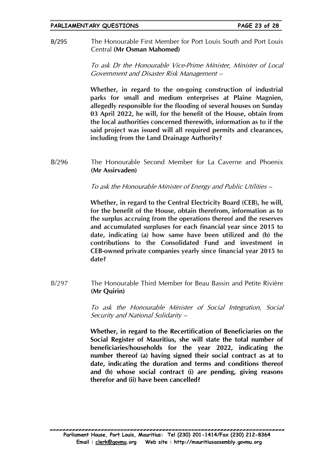The Honourable First Member for Port Louis South and Port Louis B/295 Central (Mr Osman Mahomed)

> To ask Dr the Honourable Vice-Prime Minister, Minister of Local Government and Disaster Risk Management -

> Whether, in regard to the on-going construction of industrial parks for small and medium enterprises at Plaine Magnien, allegedly responsible for the flooding of several houses on Sunday 03 April 2022, he will, for the benefit of the House, obtain from the local authorities concerned therewith, information as to if the said project was issued will all required permits and clearances, including from the Land Drainage Authority?

 $B/296$ The Honourable Second Member for La Caverne and Phoenix (Mr Assirvaden)

To ask the Honourable Minister of Energy and Public Utilities -

Whether, in regard to the Central Electricity Board (CEB), he will, for the benefit of the House, obtain therefrom, information as to the surplus accruing from the operations thereof and the reserves and accumulated surpluses for each financial year since 2015 to date, indicating (a) how same have been utilized and (b) the contributions to the Consolidated Fund and investment in CEB-owned private companies yearly since financial year 2015 to date?

 $B/297$ The Honourable Third Member for Beau Bassin and Petite Rivière (Mr Quirin)

> To ask the Honourable Minister of Social Integration, Social Security and National Solidarity -

> Whether, in regard to the Recertification of Beneficiaries on the Social Register of Mauritius, she will state the total number of beneficiaries/households for the year 2022, indicating the number thereof (a) having signed their social contract as at to date, indicating the duration and terms and conditions thereof and (b) whose social contract (i) are pending, giving reasons therefor and (ii) have been cancelled?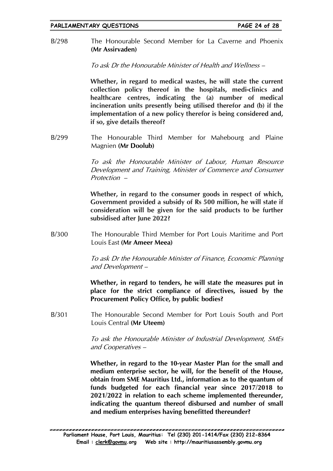The Honourable Second Member for La Caverne and Phoenix  $R/298$ (Mr Assirvaden)

To ask Dr the Honourable Minister of Health and Wellness -

Whether, in regard to medical wastes, he will state the current collection policy thereof in the hospitals, medi-clinics and healthcare centres, indicating the (a) number of medical incineration units presently being utilised therefor and (b) if the implementation of a new policy therefor is being considered and, if so, give details thereof?

 $B/299$ The Honourable Third Member for Mahebourg and Plaine Magnien (Mr Doolub)

> To ask the Honourable Minister of Labour, Human Resource Development and Training, Minister of Commerce and Consumer Protection -

> Whether, in regard to the consumer goods in respect of which, Government provided a subsidy of Rs 500 million, he will state if consideration will be given for the said products to be further subsidised after June 2022?

 $B/300$ The Honourable Third Member for Port Louis Maritime and Port Louis Fast (Mr Ameer Meea)

> To ask Dr the Honourable Minister of Finance, Economic Planning and Development-

> Whether, in regard to tenders, he will state the measures put in place for the strict compliance of directives, issued by the Procurement Policy Office, by public bodies?

 $B/301$ The Honourable Second Member for Port Louis South and Port Louis Central (Mr Uteem)

> To ask the Honourable Minister of Industrial Development, SMEs and Cooperatives -

> Whether, in regard to the 10-year Master Plan for the small and medium enterprise sector, he will, for the benefit of the House, obtain from SME Mauritius Ltd., information as to the quantum of funds budgeted for each financial year since 2017/2018 to 2021/2022 in relation to each scheme implemented thereunder. indicating the quantum thereof disbursed and number of small and medium enterprises having benefitted thereunder?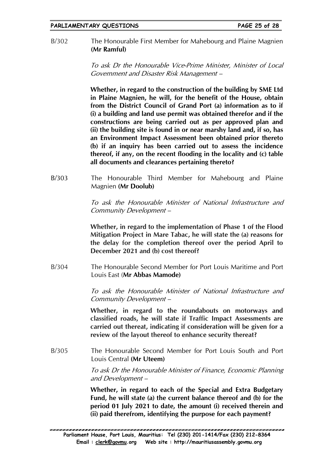$B/302$ The Honourable First Member for Mahebourg and Plaine Magnien (Mr Ramful)

> To ask Dr the Honourable Vice-Prime Minister, Minister of Local Government and Disaster Risk Management -

> Whether, in regard to the construction of the building by SME Ltd in Plaine Magnien, he will, for the benefit of the House, obtain from the District Council of Grand Port (a) information as to if (i) a building and land use permit was obtained therefor and if the constructions are being carried out as per approved plan and (ii) the building site is found in or near marshy land and, if so, has an Environment Impact Assessment been obtained prior thereto (b) if an inquiry has been carried out to assess the incidence thereof, if any, on the recent flooding in the locality and (c) table all documents and clearances pertaining thereto?

 $B/303$ The Honourable Third Member for Mahebourg and Plaine Magnien (Mr Doolub)

> To ask the Honourable Minister of National Infrastructure and Community Development-

> Whether, in regard to the implementation of Phase 1 of the Flood Mitigation Project in Mare Tabac, he will state the (a) reasons for the delay for the completion thereof over the period April to December 2021 and (b) cost thereof?

 $B/304$ The Honourable Second Member for Port Louis Maritime and Port Louis East (Mr Abbas Mamode)

> To ask the Honourable Minister of National Infrastructure and Community Development-

> Whether, in regard to the roundabouts on motorways and classified roads, he will state if Traffic Impact Assessments are carried out thereat, indicating if consideration will be given for a review of the layout thereof to enhance security thereat?

 $B/305$ The Honourable Second Member for Port Louis South and Port Louis Central (Mr Uteem)

> To ask Dr the Honourable Minister of Finance, Economic Planning and Development -

> Whether, in regard to each of the Special and Extra Budgetary Fund, he will state (a) the current balance thereof and (b) for the period 01 July 2021 to date, the amount (i) received therein and (ii) paid therefrom, identifying the purpose for each payment?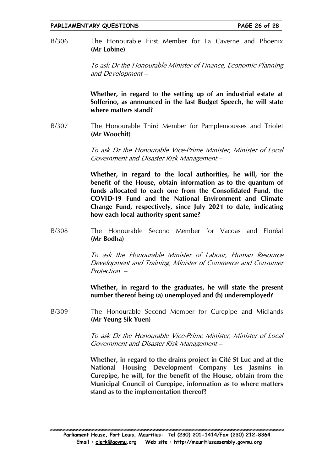The Honourable First Member for La Caverne and Phoenix  $B/306$ (Mr Lobine)

> To ask Dr the Honourable Minister of Finance, Economic Planning and Development -

> Whether, in regard to the setting up of an industrial estate at Solferino, as announced in the last Budget Speech, he will state where matters stand?

 $B/307$ The Honourable Third Member for Pamplemousses and Triolet (Mr Woochit)

> To ask Dr the Honourable Vice-Prime Minister, Minister of Local Government and Disaster Risk Management -

> Whether, in regard to the local authorities, he will, for the benefit of the House, obtain information as to the quantum of funds allocated to each one from the Consolidated Fund, the COVID-19 Fund and the National Environment and Climate Change Fund, respectively, since July 2021 to date, indicating how each local authority spent same?

 $B/308$ The Honourable Second Member for Vacoas and Floréal (Mr Bodha)

> To ask the Honourable Minister of Labour, Human Resource Development and Training, Minister of Commerce and Consumer Protection -

> Whether, in regard to the graduates, he will state the present number thereof being (a) unemployed and (b) underemployed?

 $B/309$ The Honourable Second Member for Curepipe and Midlands (Mr Yeung Sik Yuen)

> To ask Dr the Honourable Vice-Prime Minister, Minister of Local Government and Disaster Risk Management –

> Whether, in regard to the drains project in Cité St Luc and at the National Housing Development Company Les Jasmins in Curepipe, he will, for the benefit of the House, obtain from the Municipal Council of Curepipe, information as to where matters stand as to the implementation thereof?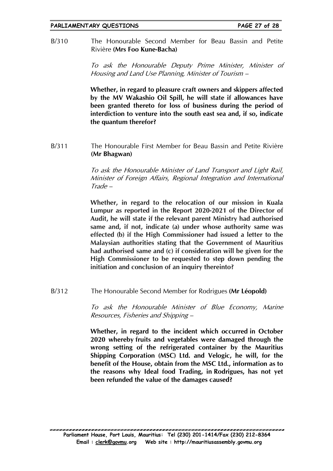The Honourable Second Member for Beau Bassin and Petite  $B/310$ Rivière (Mrs Foo Kune-Bacha)

> To ask the Honourable Deputy Prime Minister, Minister of Housing and Land Use Planning, Minister of Tourism –

> Whether, in regard to pleasure craft owners and skippers affected by the MV Wakashio Oil Spill, he will state if allowances have been granted thereto for loss of business during the period of interdiction to venture into the south east sea and, if so, indicate the quantum therefor?

The Honourable First Member for Beau Bassin and Petite Rivière  $B/311$ (Mr Bhagwan)

> To ask the Honourable Minister of Land Transport and Light Rail, Minister of Foreign Affairs, Regional Integration and International  $Trade -$

> Whether, in regard to the relocation of our mission in Kuala Lumpur as reported in the Report 2020-2021 of the Director of Audit, he will state if the relevant parent Ministry had authorised same and, if not, indicate (a) under whose authority same was effected (b) if the High Commissioner had issued a letter to the Malaysian authorities stating that the Government of Mauritius had authorised same and (c) if consideration will be given for the High Commissioner to be requested to step down pending the initiation and conclusion of an inquiry thereinto?

 $B/312$ The Honourable Second Member for Rodrigues (Mr Léopold)

> To ask the Honourable Minister of Blue Economy, Marine Resources, Fisheries and Shipping -

> Whether, in regard to the incident which occurred in October 2020 whereby fruits and vegetables were damaged through the wrong setting of the refrigerated container by the Mauritius Shipping Corporation (MSC) Ltd. and Velogic, he will, for the benefit of the House, obtain from the MSC Ltd., information as to the reasons why Ideal food Trading, in Rodrigues, has not yet been refunded the value of the damages caused?